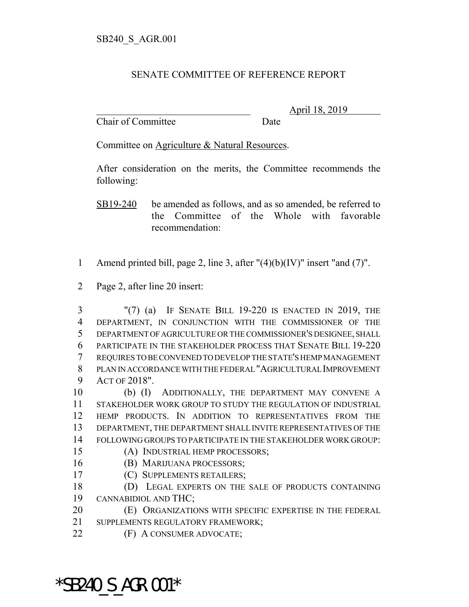## SENATE COMMITTEE OF REFERENCE REPORT

Chair of Committee Date

\_\_\_\_\_\_\_\_\_\_\_\_\_\_\_\_\_\_\_\_\_\_\_\_\_\_\_\_\_\_\_ April 18, 2019

Committee on Agriculture & Natural Resources.

After consideration on the merits, the Committee recommends the following:

SB19-240 be amended as follows, and as so amended, be referred to the Committee of the Whole with favorable recommendation:

- 1 Amend printed bill, page 2, line 3, after  $''(4)(b)(IV)''$  insert "and (7)".
- Page 2, after line 20 insert:

 "(7) (a) IF SENATE BILL 19-220 IS ENACTED IN 2019, THE DEPARTMENT, IN CONJUNCTION WITH THE COMMISSIONER OF THE DEPARTMENT OF AGRICULTURE OR THE COMMISSIONER'S DESIGNEE, SHALL PARTICIPATE IN THE STAKEHOLDER PROCESS THAT SENATE BILL 19-220 REQUIRES TO BE CONVENED TO DEVELOP THE STATE'S HEMP MANAGEMENT PLAN IN ACCORDANCE WITH THE FEDERAL "AGRICULTURAL IMPROVEMENT ACT OF 2018".

 (b) (I) ADDITIONALLY, THE DEPARTMENT MAY CONVENE A STAKEHOLDER WORK GROUP TO STUDY THE REGULATION OF INDUSTRIAL HEMP PRODUCTS. IN ADDITION TO REPRESENTATIVES FROM THE DEPARTMENT, THE DEPARTMENT SHALL INVITE REPRESENTATIVES OF THE FOLLOWING GROUPS TO PARTICIPATE IN THE STAKEHOLDER WORK GROUP:

- (A) INDUSTRIAL HEMP PROCESSORS;
- (B) MARIJUANA PROCESSORS;
- (C) SUPPLEMENTS RETAILERS;
- 18 (D) LEGAL EXPERTS ON THE SALE OF PRODUCTS CONTAINING CANNABIDIOL AND THC;

(E) ORGANIZATIONS WITH SPECIFIC EXPERTISE IN THE FEDERAL

- SUPPLEMENTS REGULATORY FRAMEWORK;
- (F) A CONSUMER ADVOCATE;

\*SB240\_S\_AGR.001\*